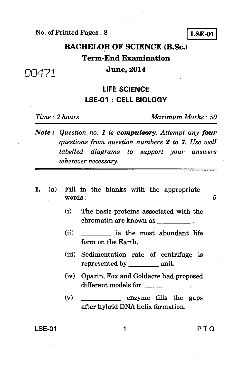No. of Printed Pages : 8

**LSE-01** 

## **BACHELOR OF SCIENCE (B.Sc.) Term-End Examination June, 2014**

### **LIFE SCIENCE LSE-01 : CELL BIOLOGY**

*00471* 

*Time : 2 hours Maximum Marks : 50* 

*Note : Question no. 1 is compulsory. Attempt any four questions from question numbers 2 to 7. Use well labelled diagrams to support your answers wherever necessary.* 

- *1.* (a) Fill in the blanks with the appropriate  $words: 5$ 
	- (i) The basic proteins associated with the chromatin are known as \_\_\_\_\_\_\_\_\_.
	- (ii) is the most abundant life form on the Earth.
	- (iii) Sedimentation rate of centrifuge is represented by unit.
	- (iv) Oparin, Fox and. Goldacre had proposed different models for
	- $(v)$  enzyme fills the gaps after hybrid DNA helix formation.

LSE-01 1 **P.T.O.**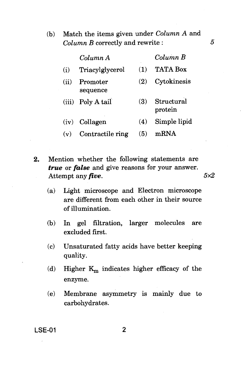(b) Match the items given under *Column* A and *Column B* correctly and rewrite : *5* 

|       | Column A             |            | $Column\ B$           |
|-------|----------------------|------------|-----------------------|
| (i)   | Triacylglycerol      | (1)        | <b>TATA Box</b>       |
| (ii)  | Promoter<br>sequence | (2)        | Cytokinesis           |
| (iii) | Poly A tail          | <b>(3)</b> | Structural<br>protein |
| (iv)  | Collagen             | (4)        | Simple lipid          |
| (v)   | Contractile ring     | (5)        | mRNA                  |

- **2.** Mention whether the following statements are *true* or *false* and give reasons for your answer. Attempt any *five*. 5x2
	- (a) Light microscope and Electron microscope are different from each other in their source of illumination.
	- (b) In gel filtration, larger molecules are excluded first.
	- (c) Unsaturated fatty acids have better keeping quality.
	- (d) Higher  $K_m$  indicates higher efficacy of the enzyme.
	- (e) Membrane asymmetry is mainly due to carbohydrates.

**LSE-01 2**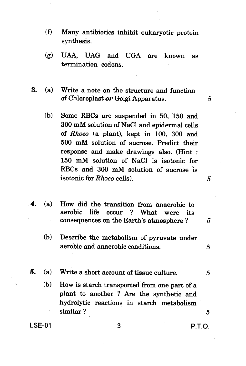- (f) Many antibiotics inhibit eukaryotic protein synthesis.
- (g) UAA, UAG and UGA are known as termination codons.
- **3.** (a) Write a note on the structure and function of Chloroplast *or* Golgi Apparatus. 5
	- (b) Some RBCs are suspended in 50, 150 and 300 mM solution of NaC1 and epidermal cells of *Rhoeo* (a plant), kept in 100, 300 and 500 mM solution of sucrose. Predict their response and make drawings also. (Hint : 150 mM solution of NaC1 is isotonic for RBCs and 300 mM solution of sucrose is isotonic for *Rhoeo* cells). *5*
- **4;** (a) How did the transition from anaerobic to aerobic life occur ? What were its consequences on the Earth's atmosphere ? *5* 
	- (b) Describe the metabolism of pyruvate under aerobic and anaerobic conditions.  $\qquad \qquad 5$
- **5.** (a) Write a short account of tissue culture. *5* 
	- (b) How is starch transported from one part of a plant to another ? Are the synthetic and hydrolytic reactions in starch metabolism similar ? *5*

 $LSE-01$  3 P.T.O.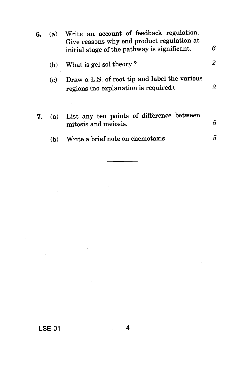| 6. | (a) | Write an account of feedback regulation.<br>Give reasons why end product regulation at<br>initial stage of the pathway is significant. | 6 |
|----|-----|----------------------------------------------------------------------------------------------------------------------------------------|---|
|    | (b) | What is gel-sol theory?                                                                                                                | 2 |
|    | (c) | Draw a L.S. of root tip and label the various<br>regions (no explanation is required).                                                 | 2 |
| 7. | (a) | List any ten points of difference between<br>mitosis and meiosis.                                                                      | 5 |
|    | (b) | Write a brief note on chemotaxis.                                                                                                      | 5 |
|    |     |                                                                                                                                        |   |

 $\hat{\boldsymbol{\tau}}$ 

 $\cdot$ 

J.

 $\sim 10^6$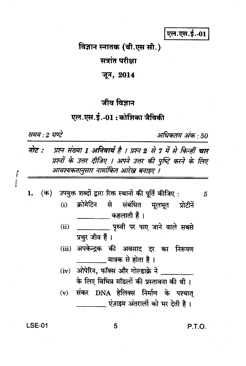एल.एस.ई.-01

# विज्ञान स्नातक (बी.एस सी.)

सत्रांत परीक्षा

जून, 2014

#### जीव विज्ञान

#### एल.एस.ई.-01 : कोशिका जैविकी

समय : 2 घण्टे

अधिकतम अंक · 50

5

- नोट : प्रश्न संख्या 1 अनिवार्य है । प्रश्न 2 से 7 में से किन्हीं चार प्रश्नों के उत्तर दीजिए । अपने उत्तर की पुष्टि करने के लिए आवश्यकतानुसार नामांकित आरेख बनाइए ।
- (क) उपयुक्त शब्दों द्वारा रिक्त स्थानों की पूर्ति कीजिए: 1. क्रोमेटिन से संबंधित मूलभूत प्रोटीनें  $(i)$ 
	- $(ii)$ \_\_\_\_\_\_\_\_ पृथ्वी पर पाए जाने वाले सबसे प्रचुर जीव हैं ।
	- (iii) अपकेन्द्रक की अवसाद दर का निरूपण मात्रक से होता है ।
	- (iv) ओपेरिन, फॉक्स और गोल्डाक्रे ने के लिए विभिन्न मॉडलों की प्रस्तावना की थी। (v) संकर DNA हेलिक्स निर्माण के पश्चात एंजाइम अंतरालों को भर देती है।

**LSE-01** 

5

P.T.O.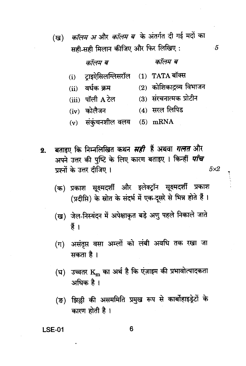- कॉलम अ और कॉलम ब<sup>े</sup> के अंतर्गत दी गई मदों का (ख) सही-सही मिलान कीजिए और फिर लिखिए : 5 कॉलम ब कॉलम ब
	- $(1)$  TATA बॉक्स टाइऐसिलग्लिसरॉल  $(i)$
	- $(ii)$  वर्धक क्रम

 $(iii)$  पॉली  $A$  टेल

(3) संरचनात्मक प्रोटीन

 $(2)$  कोशिकाद्रव्य विभाजन

- (4) सरल लिपिड  $(iv)$  कोलैजन
- $(v)$  संकंचनशील वलय (5) mRNA
- बताडुए कि निम्नलिखित कथन *सही* हैं अथवा *गलत* और  $2.$ अपने उत्तर की पुष्टि के लिए कारण बताइए । किन्हीं *पाँच* प्रश्नों के उत्तर दीजिए ।  $5\times2$

(क) प्रकाश सूक्ष्मदर्शी और इलेक्ट्रॉन सूक्ष्मदर्शी प्रकाश (प्रदीप्ति) के स्रोत के संदर्भ में एक-दूसरे से भिन्न होते हैं।

- (ख) जेल-निस्यंदन में अपेक्षाकृत बड़े अणु पहले निकाले जाते हैं ।
- (ग) असंतृप्त वसा अम्लों को लंबी अवधि तक रखा जा सकता है ।
- (घ) उच्चतर  $\mathbf{K_m}$  का अर्थ है कि एंज़ाइम की प्रभावोत्पादकता अधिक है।
- झिल्ली की असममिति प्रमुख रूप से कार्बोहाइड्रेटों के (ङ) कारण होती है।

#### **LSE-01**

6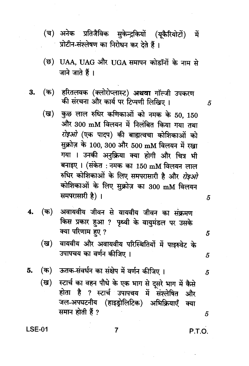- (च) अनेक प्रतिजैविक सुकेन्द्रकियों (यूकैरियोटों) में प्रोटीन-संश्लेषण का निरोधन कर देते हैं।
- (छ) UAA, UAG और UGA समापन कोडॉनों के नाम से जाने जाते हैं।
- हरितलवक (क्लोरोप्लास्ट) **अथवा** गॉल्जी उपकरण (क) 3. की संरचना और कार्य पर टिप्पणी लिखिए।
	- कुछ लाल रुधिर कणिकाओं को नमक के 50, 150 (ख) और 300 mM विलयन में निलंबित किया गया तथा *रोइओ (*एक पादप) की बाह्यत्वचा कोशिकाओं को सुक्रोज़ के 100, 300 और 500 mM विलयन में रखा गया । उनकी अनुक्रिया क्या होगी और चित्र भी बनाइए । (संकेत : नमक का 150 mM विलयन लाल रुधिर कोशिकाओं के लिए समपरासारी है और *रोइओ* कोशिकाओं के लिए सुक्रोज़ का 300 mM विलयन समपरासारी है)।
- अवायवीय जीवन से वायवीय जीवन का संक्रमण  $($ क) 4. किस प्रकार हुआ ? पृथ्वी के वायुमंडल पर उसके क्या परिणाम हुए ?
	- (ख) वायवीय और अवायवीय परिस्थितियों में पाइरुवेट के उपापचय का वर्णन कीजिए ।
- (क) ऊतक-संवर्धन का संक्षेप में वर्णन कीजिए । 5.
	- स्टार्च का वहन पौधे के एक भाग से दूसरे भाग में कैसे (ख) होता है ? स्टार्च उपापचय में संश्लेषित और जल-अपघटनीय (हाइड्रोलिटिक) अभिक्रियाएँ क्या समान होती हैं ?

 $LSE-01$ 

P.T.O.

5

5

5

5

5

5

7